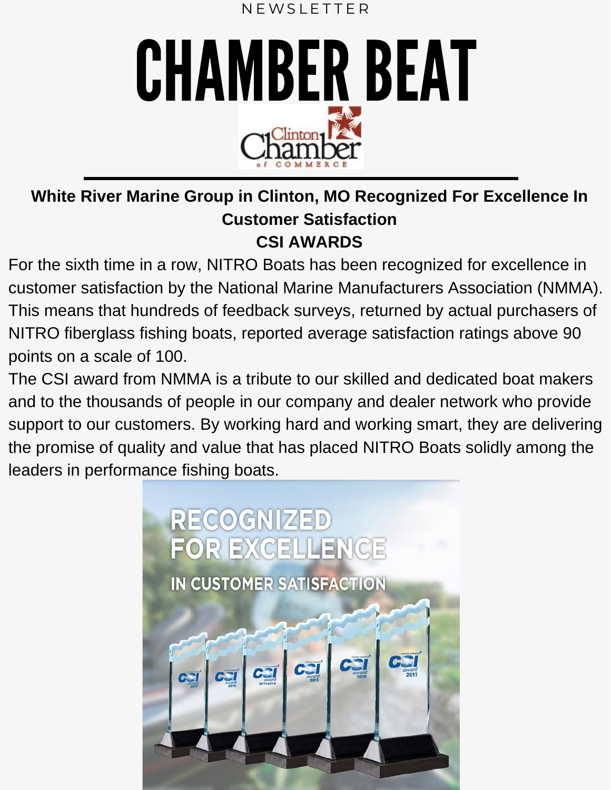



**White River Marine Group in Clinton, MO Recognized For Excellence In Customer Satisfaction CSI AWARDS**

For the sixth time in a row, NITRO Boats has been recognized for excellence in customer satisfaction by the National Marine Manufacturers Association (NMMA). This means that hundreds of feedback surveys, returned by actual purchasers of NITRO fiberglass fishing boats, reported average satisfaction ratings above 90 points on a scale of 100.

The CSI award from NMMA is a tribute to our skilled and dedicated boat makers and to the thousands of people in our company and dealer network who provide support to our customers. By working hard and working smart, they are delivering the promise of quality and value that has placed NITRO Boats solidly among the leaders in performance fishing boats.

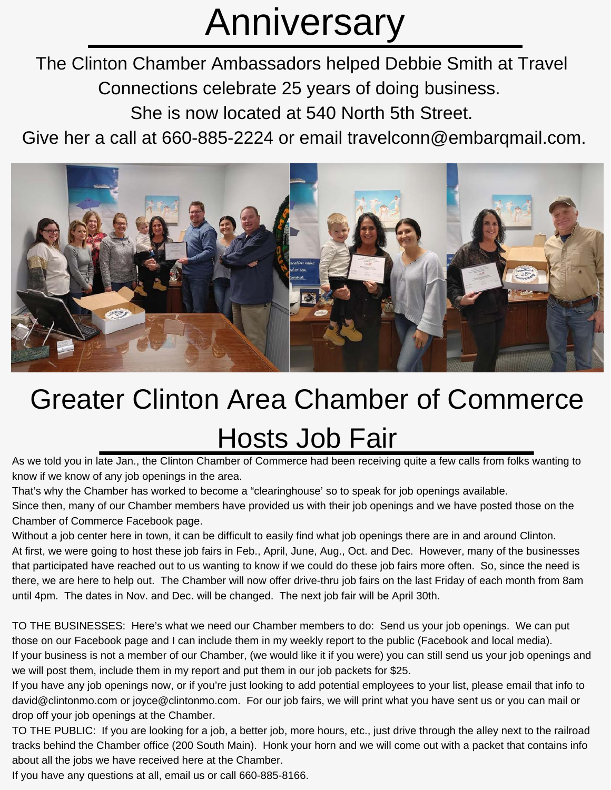# Anniversary

The Clinton Chamber Ambassadors helped Debbie Smith at Travel Connections celebrate 25 years of doing business.

She is now located at 540 North 5th Street.

Give her a call at 660-885-2224 or email travelconn@embarqmail.com.



### Greater Clinton Area Chamber of Commerce Hosts Job Fair

As we told you in late Jan., the Clinton Chamber of Commerce had been receiving quite a few calls from folks wanting to know if we know of any job openings in the area.

That's why the Chamber has worked to become a "clearinghouse' so to speak for job openings available.

Since then, many of our Chamber members have provided us with their job openings and we have posted those on the Chamber of Commerce Facebook page.

Without a job center here in town, it can be difficult to easily find what job openings there are in and around Clinton. At first, we were going to host these job fairs in Feb., April, June, Aug., Oct. and Dec. However, many of the businesses that participated have reached out to us wanting to know if we could do these job fairs more often. So, since the need is there, we are here to help out. The Chamber will now offer drive-thru job fairs on the last Friday of each month from 8am until 4pm. The dates in Nov. and Dec. will be changed. The next job fair will be April 30th.

TO THE BUSINESSES: Here's what we need our Chamber members to do: Send us your job openings. We can put those on our Facebook page and I can include them in my weekly report to the public (Facebook and local media). If your business is not a member of our Chamber, (we would like it if you were) you can still send us your job openings and we will post them, include them in my report and put them in our job packets for \$25.

If you have any job openings now, or if you're just looking to add potential employees to your list, please email that info to david@clintonmo.com or joyce@clintonmo.com. For our job fairs, we will print what you have sent us or you can mail or drop off your job openings at the Chamber.

TO THE PUBLIC: If you are looking for a job, a better job, more hours, etc., just drive through the alley next to the railroad tracks behind the Chamber office (200 South Main). Honk your horn and we will come out with a packet that contains info about all the jobs we have received here at the Chamber.

If you have any questions at all, email us or call 660-885-8166.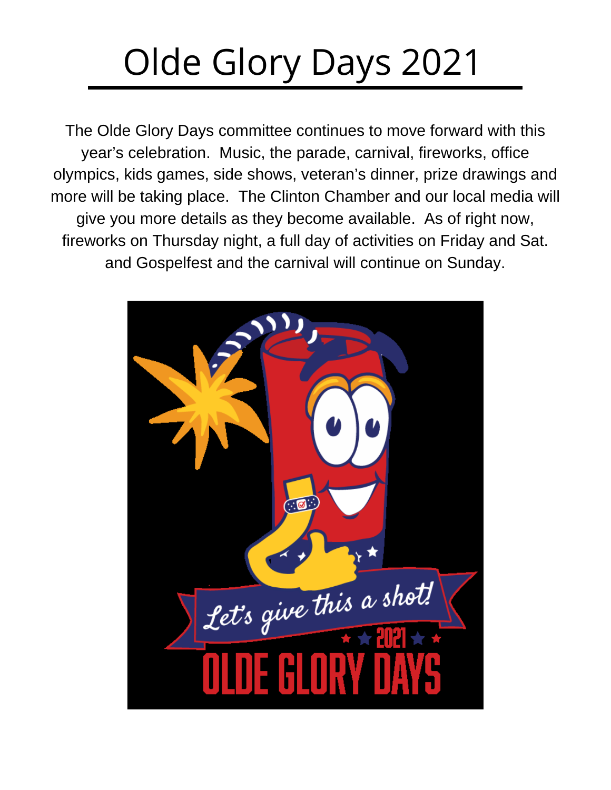# Olde Glory Days 2021

The Olde Glory Days committee continues to move forward with this year's celebration. Music, the parade, carnival, fireworks, office olympics, kids games, side shows, veteran's dinner, prize drawings and more will be taking place. The Clinton Chamber and our local media will give you more details as they become available. As of right now, fireworks on Thursday night, a full day of activities on Friday and Sat. and Gospelfest and the carnival will continue on Sunday.

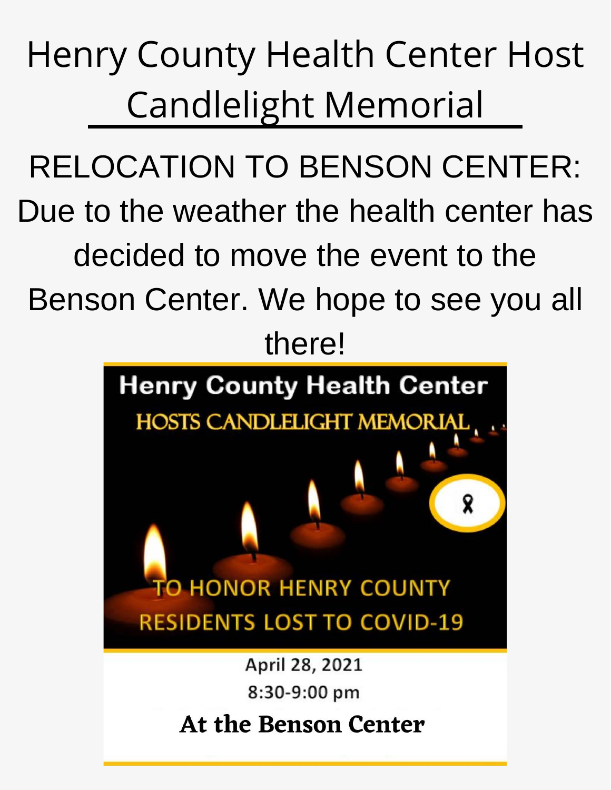# Henry County Health Center Host Candlelight Memorial

RELOCATION TO BENSON CENTER: Due to the weather the health center has decided to move the event to the Benson Center. We hope to see you all

### there!



### **At the Benson Center**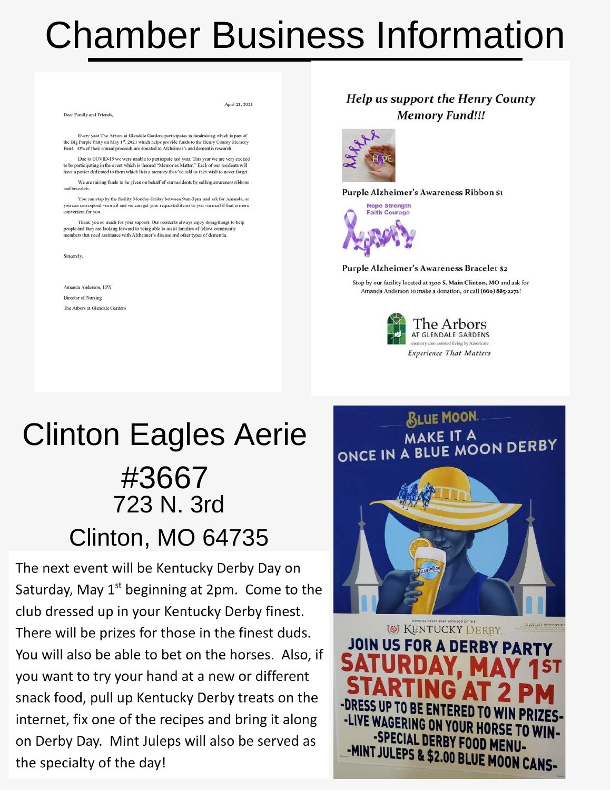# Chamber Business Information

Every year The Arbors at Glendale Gardens participates in fundraising which is part of the Big Purple Party on May 1<sup>st</sup>, 2021 which helps provide funds to the Henry County Memory<br>Fund. 10% of their annual proceeds are donated to Alzheimer's and dementia research. Due to COVID-19 we were unable to participate last year. This year we are very excited to be participating in the event which is themed "Memories Matter." Each of our residents will<br>have a poster dedicated to them which lists a memory they've told us they wish to never forget. We are raising funds to be given on behalf of our residents by selling awareness ribbons and bracelets. You can stop by the facility Monday-Friday between 9am-3pm and ask for Amanda, or you can correspond via mail and we can get your requested items to you via mail if that is more convenient for you. Thank you so much for your support. Our residents always enjoy doing things to help people and they are looking forward to being able to assist families of fellow communences that need assistance with Alzheimer's disease and other types of dementia. Sincerely. Amanda Anderson, LPN Director of Nursing The Arbors at Glendale Gardens

Dear Family and Friends.

April 21, 2021

#### **Help us support the Henry County Memory Fund!!!**



#### Purple Alzheimer's Awareness Ribbon \$1



#### Purple Alzheimer's Awareness Bracelet \$2

Stop by our facility located at 1300 S. Main Clinton. MO and ask for Amanda Anderson to make a donation, or call (660) 885-2272!



**BLUE MOON MAKE IT A** ONCE IN A BLUE MOON DERBY

### Clinton Eagles Aerie #3667 723 N. 3rd Clinton, MO 64735

The next event will be Kentucky Derby Day on Saturday, May  $1<sup>st</sup>$  beginning at 2pm. Come to the club dressed up in your Kentucky Derby finest. There will be prizes for those in the finest duds. You will also be able to bet on the horses. Also, if you want to try your hand at a new or different snack food, pull up Kentucky Derby treats on the internet, fix one of the recipes and bring it along on Derby Day. Mint Juleps will also be served as the specialty of the day!

**I** KENTUCKY DERBY JOIN US FOR A DERBY PART -LIVE WAGERING ON YOUR HORSE TO WIN--SPECIAL DERBY FOOD MENU--MINT JULEPS & \$2.00 BLUE MOON CANS-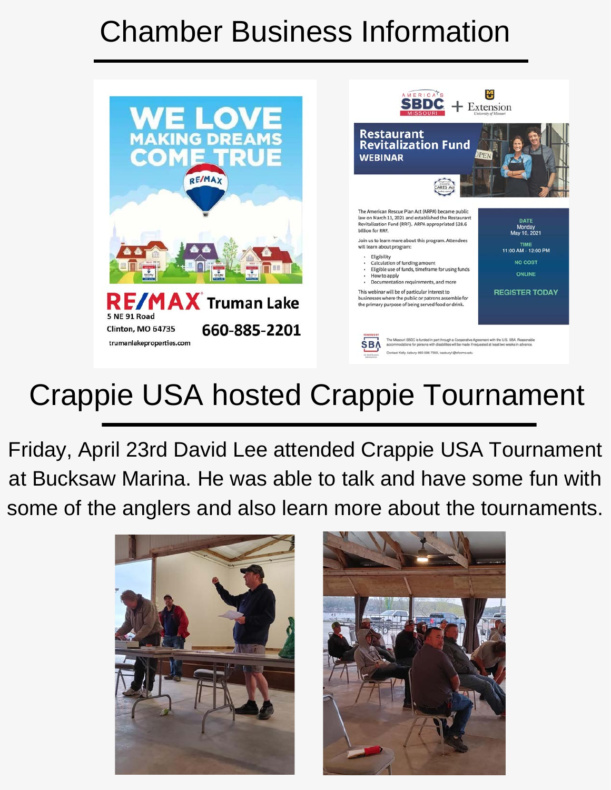# Chamber Business Information



# Crappie USA hosted Crappie Tournament

Friday, April 23rd David Lee attended Crappie USA Tournament at Bucksaw Marina. He was able to talk and have some fun with some of the anglers and also learn more about the tournaments.